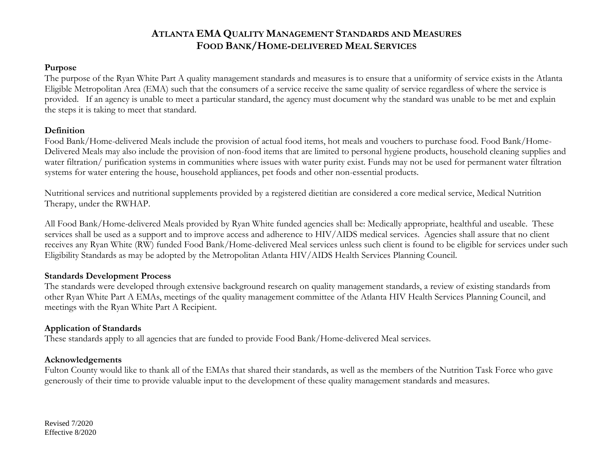#### **Purpose**

The purpose of the Ryan White Part A quality management standards and measures is to ensure that a uniformity of service exists in the Atlanta Eligible Metropolitan Area (EMA) such that the consumers of a service receive the same quality of service regardless of where the service is provided. If an agency is unable to meet a particular standard, the agency must document why the standard was unable to be met and explain the steps it is taking to meet that standard.

#### **Definition**

Food Bank/Home-delivered Meals include the provision of actual food items, hot meals and vouchers to purchase food. Food Bank/Home-Delivered Meals may also include the provision of non-food items that are limited to personal hygiene products, household cleaning supplies and water filtration/ purification systems in communities where issues with water purity exist. Funds may not be used for permanent water filtration systems for water entering the house, household appliances, pet foods and other non-essential products.

Nutritional services and nutritional supplements provided by a registered dietitian are considered a core medical service, Medical Nutrition Therapy, under the RWHAP.

All Food Bank/Home-delivered Meals provided by Ryan White funded agencies shall be: Medically appropriate, healthful and useable. These services shall be used as a support and to improve access and adherence to HIV/AIDS medical services. Agencies shall assure that no client receives any Ryan White (RW) funded Food Bank/Home-delivered Meal services unless such client is found to be eligible for services under such Eligibility Standards as may be adopted by the Metropolitan Atlanta HIV/AIDS Health Services Planning Council.

### **Standards Development Process**

The standards were developed through extensive background research on quality management standards, a review of existing standards from other Ryan White Part A EMAs, meetings of the quality management committee of the Atlanta HIV Health Services Planning Council, and meetings with the Ryan White Part A Recipient.

### **Application of Standards**

These standards apply to all agencies that are funded to provide Food Bank/Home-delivered Meal services.

### **Acknowledgements**

Fulton County would like to thank all of the EMAs that shared their standards, as well as the members of the Nutrition Task Force who gave generously of their time to provide valuable input to the development of these quality management standards and measures.

Revised 7/2020 Effective 8/2020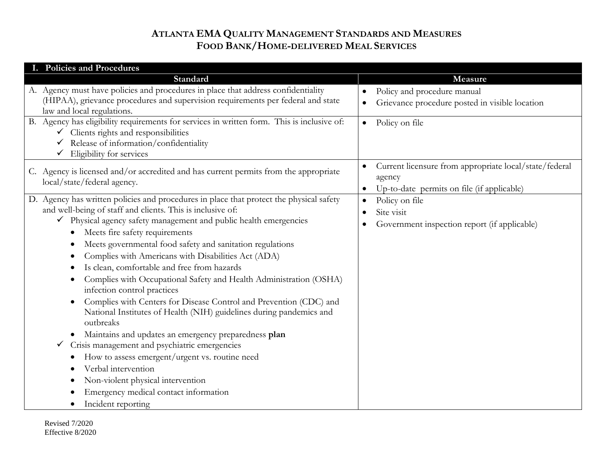| I. Policies and Procedures                                                                                                                                                                                                                                                                                                                                                                                                                                                                                                                                                                                                                                                                                                                                                                                                                                                                                                                                                                                     |                                                                                                                             |  |  |  |  |
|----------------------------------------------------------------------------------------------------------------------------------------------------------------------------------------------------------------------------------------------------------------------------------------------------------------------------------------------------------------------------------------------------------------------------------------------------------------------------------------------------------------------------------------------------------------------------------------------------------------------------------------------------------------------------------------------------------------------------------------------------------------------------------------------------------------------------------------------------------------------------------------------------------------------------------------------------------------------------------------------------------------|-----------------------------------------------------------------------------------------------------------------------------|--|--|--|--|
| Standard                                                                                                                                                                                                                                                                                                                                                                                                                                                                                                                                                                                                                                                                                                                                                                                                                                                                                                                                                                                                       | Measure                                                                                                                     |  |  |  |  |
| A. Agency must have policies and procedures in place that address confidentiality<br>(HIPAA), grievance procedures and supervision requirements per federal and state<br>law and local regulations.                                                                                                                                                                                                                                                                                                                                                                                                                                                                                                                                                                                                                                                                                                                                                                                                            | Policy and procedure manual<br>$\bullet$<br>Grievance procedure posted in visible location<br>$\bullet$                     |  |  |  |  |
| B. Agency has eligibility requirements for services in written form. This is inclusive of:<br>Clients rights and responsibilities<br>Release of information/confidentiality<br>Eligibility for services<br>✓                                                                                                                                                                                                                                                                                                                                                                                                                                                                                                                                                                                                                                                                                                                                                                                                   | Policy on file<br>$\bullet$                                                                                                 |  |  |  |  |
| C. Agency is licensed and/or accredited and has current permits from the appropriate<br>local/state/federal agency.                                                                                                                                                                                                                                                                                                                                                                                                                                                                                                                                                                                                                                                                                                                                                                                                                                                                                            | Current licensure from appropriate local/state/federal<br>$\bullet$<br>agency<br>Up-to-date permits on file (if applicable) |  |  |  |  |
| D. Agency has written policies and procedures in place that protect the physical safety<br>and well-being of staff and clients. This is inclusive of:<br>◆ Physical agency safety management and public health emergencies<br>Meets fire safety requirements<br>Meets governmental food safety and sanitation regulations<br>Complies with Americans with Disabilities Act (ADA)<br>Is clean, comfortable and free from hazards<br>Complies with Occupational Safety and Health Administration (OSHA)<br>infection control practices<br>Complies with Centers for Disease Control and Prevention (CDC) and<br>$\bullet$<br>National Institutes of Health (NIH) guidelines during pandemics and<br>outbreaks<br>Maintains and updates an emergency preparedness plan<br>$\bullet$<br>Crisis management and psychiatric emergencies<br>How to assess emergent/urgent vs. routine need<br>Verbal intervention<br>Non-violent physical intervention<br>Emergency medical contact information<br>Incident reporting | Policy on file<br>$\bullet$<br>Site visit<br>$\bullet$<br>Government inspection report (if applicable)<br>$\bullet$         |  |  |  |  |

Revised 7/2020 Effective 8/2020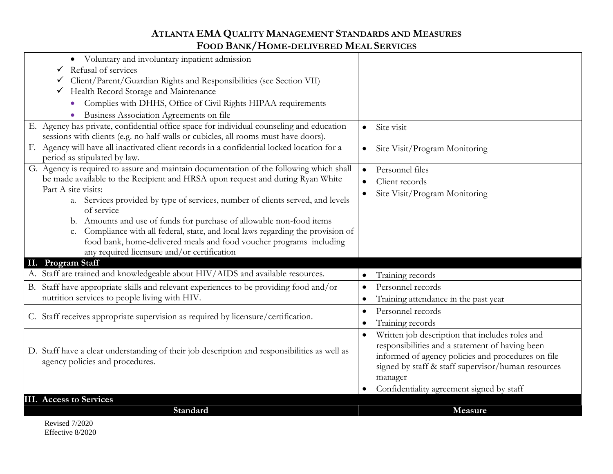| Voluntary and involuntary inpatient admission<br>$\bullet$<br>Refusal of services<br>$\checkmark$<br>Client/Parent/Guardian Rights and Responsibilities (see Section VII)<br>Health Record Storage and Maintenance<br>$\checkmark$<br>Complies with DHHS, Office of Civil Rights HIPAA requirements<br>$\bullet$<br>Business Association Agreements on file                                                                                                                                                                                                                           |                                                                                                                                                                                                                                                                                     |
|---------------------------------------------------------------------------------------------------------------------------------------------------------------------------------------------------------------------------------------------------------------------------------------------------------------------------------------------------------------------------------------------------------------------------------------------------------------------------------------------------------------------------------------------------------------------------------------|-------------------------------------------------------------------------------------------------------------------------------------------------------------------------------------------------------------------------------------------------------------------------------------|
| E. Agency has private, confidential office space for individual counseling and education<br>sessions with clients (e.g. no half-walls or cubicles, all rooms must have doors).                                                                                                                                                                                                                                                                                                                                                                                                        | Site visit<br>$\bullet$                                                                                                                                                                                                                                                             |
| Agency will have all inactivated client records in a confidential locked location for a<br>F.<br>period as stipulated by law.                                                                                                                                                                                                                                                                                                                                                                                                                                                         | Site Visit/Program Monitoring<br>$\bullet$                                                                                                                                                                                                                                          |
| G. Agency is required to assure and maintain documentation of the following which shall<br>be made available to the Recipient and HRSA upon request and during Ryan White<br>Part A site visits:<br>a. Services provided by type of services, number of clients served, and levels<br>of service<br>b. Amounts and use of funds for purchase of allowable non-food items<br>Compliance with all federal, state, and local laws regarding the provision of<br>c.<br>food bank, home-delivered meals and food voucher programs including<br>any required licensure and/or certification | Personnel files<br>$\bullet$<br>Client records<br>Site Visit/Program Monitoring                                                                                                                                                                                                     |
| <b>Program Staff</b><br>П.<br>A. Staff are trained and knowledgeable about HIV/AIDS and available resources.                                                                                                                                                                                                                                                                                                                                                                                                                                                                          | Training records<br>$\bullet$                                                                                                                                                                                                                                                       |
| B. Staff have appropriate skills and relevant experiences to be providing food and/or<br>nutrition services to people living with HIV.                                                                                                                                                                                                                                                                                                                                                                                                                                                | Personnel records<br>$\bullet$<br>Training attendance in the past year<br>$\bullet$                                                                                                                                                                                                 |
| C. Staff receives appropriate supervision as required by licensure/certification.                                                                                                                                                                                                                                                                                                                                                                                                                                                                                                     | Personnel records<br>$\bullet$<br>Training records<br>$\bullet$                                                                                                                                                                                                                     |
| D. Staff have a clear understanding of their job description and responsibilities as well as<br>agency policies and procedures.                                                                                                                                                                                                                                                                                                                                                                                                                                                       | Written job description that includes roles and<br>$\bullet$<br>responsibilities and a statement of having been<br>informed of agency policies and procedures on file<br>signed by staff & staff supervisor/human resources<br>manager<br>Confidentiality agreement signed by staff |
| <b>III.</b> Access to Services                                                                                                                                                                                                                                                                                                                                                                                                                                                                                                                                                        |                                                                                                                                                                                                                                                                                     |
| Standard                                                                                                                                                                                                                                                                                                                                                                                                                                                                                                                                                                              | Measure                                                                                                                                                                                                                                                                             |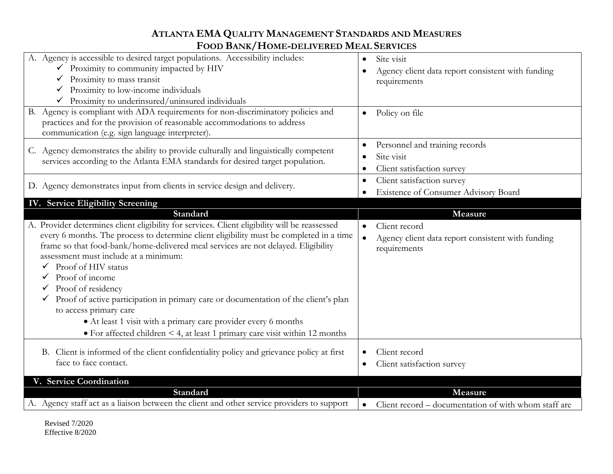| A. Agency is accessible to desired target populations. Accessibility includes:<br>$\checkmark$ Proximity to community impacted by HIV                                                                                                                                                                                    | Site visit<br>$\bullet$<br>Agency client data report consistent with funding |
|--------------------------------------------------------------------------------------------------------------------------------------------------------------------------------------------------------------------------------------------------------------------------------------------------------------------------|------------------------------------------------------------------------------|
| Proximity to mass transit<br>✓<br>Proximity to low-income individuals                                                                                                                                                                                                                                                    | requirements                                                                 |
| Proximity to underinsured/uninsured individuals                                                                                                                                                                                                                                                                          |                                                                              |
| B. Agency is compliant with ADA requirements for non-discriminatory policies and<br>practices and for the provision of reasonable accommodations to address<br>communication (e.g. sign language interpreter).                                                                                                           | Policy on file<br>$\bullet$                                                  |
| C. Agency demonstrates the ability to provide culturally and linguistically competent<br>services according to the Atlanta EMA standards for desired target population.                                                                                                                                                  | Personnel and training records<br>Site visit<br>Client satisfaction survey   |
| D. Agency demonstrates input from clients in service design and delivery.                                                                                                                                                                                                                                                | Client satisfaction survey<br>Existence of Consumer Advisory Board           |
| IV. Service Eligibility Screening                                                                                                                                                                                                                                                                                        |                                                                              |
| <b>Standard</b>                                                                                                                                                                                                                                                                                                          | Measure                                                                      |
| A. Provider determines client eligibility for services. Client eligibility will be reassessed<br>every 6 months. The process to determine client eligibility must be completed in a time                                                                                                                                 | Client record<br>$\bullet$                                                   |
| frame so that food-bank/home-delivered meal services are not delayed. Eligibility<br>assessment must include at a minimum:<br>$\checkmark$ Proof of HIV status<br>Proof of income<br>Proof of residency<br>Proof of active participation in primary care or documentation of the client's plan<br>to access primary care | Agency client data report consistent with funding<br>requirements            |
| • At least 1 visit with a primary care provider every 6 months                                                                                                                                                                                                                                                           |                                                                              |
| • For affected children < 4, at least 1 primary care visit within 12 months<br>B. Client is informed of the client confidentiality policy and grievance policy at first<br>face to face contact.                                                                                                                         | Client record<br>Client satisfaction survey                                  |
| V. Service Coordination                                                                                                                                                                                                                                                                                                  |                                                                              |
| Standard<br>A. Agency staff act as a liaison between the client and other service providers to support                                                                                                                                                                                                                   | Measure<br>Client record – documentation of with whom staff are              |

Revised 7/2020 Effective 8/2020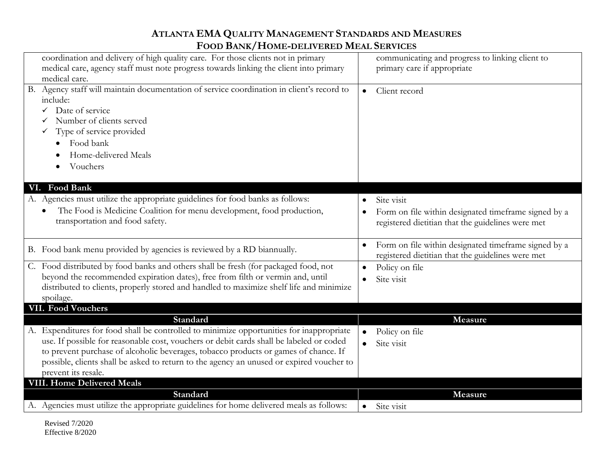| coordination and delivery of high quality care. For those clients not in primary<br>medical care, agency staff must note progress towards linking the client into primary<br>medical care.                                                                                                                                                                                                                |                        | communicating and progress to linking client to<br>primary care if appropriate                                          |
|-----------------------------------------------------------------------------------------------------------------------------------------------------------------------------------------------------------------------------------------------------------------------------------------------------------------------------------------------------------------------------------------------------------|------------------------|-------------------------------------------------------------------------------------------------------------------------|
| B. Agency staff will maintain documentation of service coordination in client's record to<br>include:<br>Date of service<br>✓<br>Number of clients served<br>Type of service provided<br>Food bank<br>Home-delivered Meals<br>Vouchers                                                                                                                                                                    | $\bullet$              | Client record                                                                                                           |
| VI. Food Bank                                                                                                                                                                                                                                                                                                                                                                                             |                        |                                                                                                                         |
| A. Agencies must utilize the appropriate guidelines for food banks as follows:<br>The Food is Medicine Coalition for menu development, food production,<br>transportation and food safety.                                                                                                                                                                                                                | $\bullet$              | Site visit<br>Form on file within designated timeframe signed by a<br>registered dietitian that the guidelines were met |
| B. Food bank menu provided by agencies is reviewed by a RD biannually.                                                                                                                                                                                                                                                                                                                                    | $\bullet$              | Form on file within designated timeframe signed by a<br>registered dietitian that the guidelines were met               |
| C. Food distributed by food banks and others shall be fresh (for packaged food, not<br>beyond the recommended expiration dates), free from filth or vermin and, until<br>distributed to clients, properly stored and handled to maximize shelf life and minimize<br>spoilage.                                                                                                                             | $\bullet$              | Policy on file<br>Site visit                                                                                            |
| <b>VII. Food Vouchers</b>                                                                                                                                                                                                                                                                                                                                                                                 |                        |                                                                                                                         |
| Standard<br>A. Expenditures for food shall be controlled to minimize opportunities for inappropriate<br>use. If possible for reasonable cost, vouchers or debit cards shall be labeled or coded<br>to prevent purchase of alcoholic beverages, tobacco products or games of chance. If<br>possible, clients shall be asked to return to the agency an unused or expired voucher to<br>prevent its resale. | $\bullet$<br>$\bullet$ | Measure<br>Policy on file<br>Site visit                                                                                 |
| <b>VIII. Home Delivered Meals</b>                                                                                                                                                                                                                                                                                                                                                                         |                        |                                                                                                                         |
| Standard                                                                                                                                                                                                                                                                                                                                                                                                  |                        | Measure                                                                                                                 |
| A. Agencies must utilize the appropriate guidelines for home delivered meals as follows:                                                                                                                                                                                                                                                                                                                  | $\bullet$              | Site visit                                                                                                              |